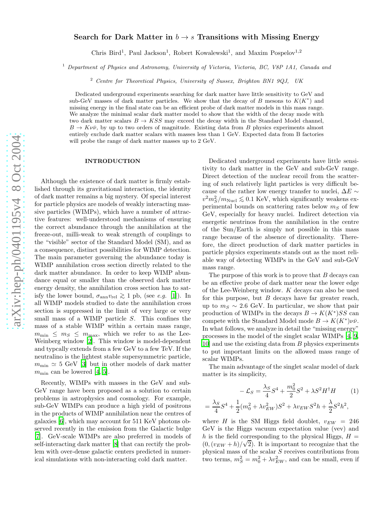## Search for Dark Matter in  $b \to s$  Transitions with Missing Energy

Chris Bird<sup>1</sup>, Paul Jackson<sup>1</sup>, Robert Kowalewski<sup>1</sup>, and Maxim Pospelov<sup>1,2</sup>

<sup>1</sup> Department of Physics and Astronomy, University of Victoria, Victoria, BC, V8P 1A1, Canada and

<sup>2</sup> Centre for Theoretical Physics, University of Sussex, Brighton BN1 9QJ, UK

Dedicated underground experiments searching for dark matter have little sensitivity to GeV and sub-GeV masses of dark matter particles. We show that the decay of B mesons to  $K(K^*)$  and missing energy in the final state can be an efficient probe of dark matter models in this mass range. We analyze the minimal scalar dark matter model to show that the width of the decay mode with two dark matter scalars  $B \to KSS$  may exceed the decay width in the Standard Model channel,  $B \to K \nu \bar{\nu}$ , by up to two orders of magnitude. Existing data from B physics experiments almost entirely exclude dark matter scalars with masses less than 1 GeV. Expected data from B factories will probe the range of dark matter masses up to 2 GeV.

=

## INTRODUCTION

Although the existence of dark matter is firmly established through its gravitational interaction, the identity of dark matter remains a big mystery. Of special interest for particle physics are models of weakly interacting massive particles (WIMPs), which have a number of attractive features: well-understood mechanisms of ensuring the correct abundance through the annihilation at the freeze-out, milli-weak to weak strength of couplings to the "visible" sector of the Standard Model (SM), and as a consequence, distinct possibilities for WIMP detection. The main parameter governing the abundance today is WIMP annihilation cross section directly related to the dark matter abundance. In order to keep WIMP abundance equal or smaller than the observed dark matter energy density, the annihilation cross section has to satisfy the lower bound,  $\sigma_{\text{ann}}v_{\text{rel}} \geq 1$  pb, (see *e.g.* [\[1\]](#page-3-0)). In all WIMP models studied to date the annihilation cross section is suppressed in the limit of very large or very small mass of a WIMP particle S. This confines the mass of a stable WIMP within a certain mass range,  $m_{\text{min}} \leq m_S \leq m_{\text{max}}$ , which we refer to as the Lee-Weinberg window [\[2](#page-3-1)]. This window is model-dependent and typcally extends from a few GeV to a few TeV. If the neutralino is the lightest stable supersymmetric particle,  $m_{\text{min}} \simeq 5$  $m_{\text{min}} \simeq 5$  GeV [\[3\]](#page-3-2) but in other models of dark matter  $m_{\text{min}}$  can be lowered [\[4](#page-3-3), 5].

Recently, WIMPs with masses in the GeV and sub-GeV range have been proposed as a solution to certain problems in astrophysics and cosmology. For example, sub-GeV WIMPs can produce a high yield of positrons in the products of WIMP annihilation near the centres of galaxies [\[6\]](#page-3-5), which may account for 511 KeV photons observed recently in the emission from the Galactic bulge [\[7\]](#page-3-6). GeV-scale WIMPs are also preferred in models of self-interacting dark matter [\[8\]](#page-3-7) that can rectify the problem with over-dense galactic centers predicted in numerical simulations with non-interacting cold dark matter.

Dedicated underground experiments have little sensitivity to dark matter in the GeV and sub-GeV range. Direct detection of the nuclear recoil from the scattering of such relatively light particles is very difficult because of the rather low energy transfer to nuclei,  $\Delta E \sim v^2 m_S^2/m_{\text{Nucle}} \lesssim 0.1 \text{ KeV}$ , which significantly weakens ex-<br>noninopted hounds an exettering rates helon me of form perimental bounds on scattering rates below  $m<sub>S</sub>$  of few GeV, especially for heavy nuclei. Indirect detection via energetic neutrinos from the annihilation in the centre of the Sun/Earth is simply not possible in this mass range because of the absence of directionality. Therefore, the direct production of dark matter particles in particle physics experiments stands out as the most reliable way of detecting WIMPs in the GeV and sub-GeV mass range.

The purpose of this work is to prove that B decays can be an effective probe of dark matter near the lower edge of the Lee-Weinberg window. K decays can also be used for this purpose, but B decays have far greater reach, up to  $m_S \sim 2.6$  GeV. In particular, we show that pair production of WIMPs in the decays  $B \to K(K^*)SS$  can compete with the Standard Model mode  $B \to K(K^*)\nu\bar{\nu}$ . In what follows, we analyze in detail the "missing energy" processes in the model of the singlet scalar WIMPs [\[4,](#page-3-3) [9](#page-3-8), [10\]](#page-3-9) and use the existing data from B physics experiments to put important limits on the allowed mass range of scalar WIMPs.

The main advantage of the singlet scalar model of dark matter is its simplicity,

<span id="page-0-0"></span>
$$
- \mathcal{L}_S = \frac{\lambda_S}{4} S^4 + \frac{m_0^2}{2} S^2 + \lambda S^2 H^{\dagger} H \qquad (1)
$$

$$
= \frac{\lambda_S}{4} S^4 + \frac{1}{2} (m_0^2 + \lambda v_{EW}^2) S^2 + \lambda v_{EW} S^2 h + \frac{\lambda}{2} S^2 h^2,
$$

where H is the SM Higgs field doublet,  $v_{EW} = 246$ GeV is the Higgs vacuum expectation value (vev) and h is the field corresponding to the physical Higgs,  $H =$  $(0, (v_{EW} + h)/\sqrt{2})$ . It is important to recognize that the physical mass of the scalar S receives contributions from two terms,  $m_S^2 = m_0^2 + \lambda v_{EW}^2$ , and can be small, even if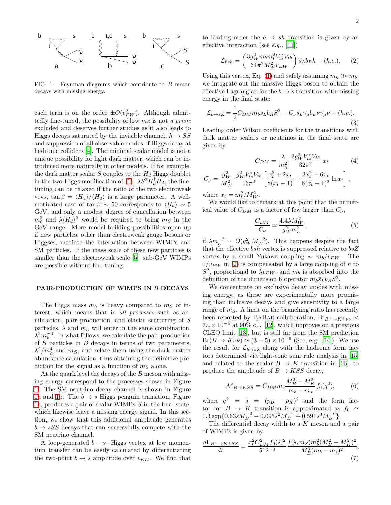

<span id="page-1-0"></span>FIG. 1: Feynman diagrams which contribute to  $B$  meson decays with missing energy.

each term is on the order  $\pm O(v_{EW}^2)$ . Although admittedly fine-tuned, the possibility of low  $m<sub>S</sub>$  is not a priori excluded and deserves further studies as it also leads to Higgs decays saturated by the invisible channel,  $h \rightarrow SS$ and suppression of all observable modes of Higgs decay at hadronic colliders [\[4\]](#page-3-3). The minimal scalar model is not a unique possibility for light dark matter, which can be introduced more naturally in other models. If for example, the dark matter scalar  $S$  couples to the  $H_d$  Higgs doublet in the two-Higgs modification of [\(1\)](#page-0-0),  $\lambda S^2 H_d^{\dagger} H_d$ , the finetuning can be relaxed if the ratio of the two electroweak vevs,  $\tan \beta = \langle H_u \rangle / \langle H_d \rangle$  is a large parameter. A wellmotivated case of tan  $\beta \sim 50$  corresponds to  $\langle H_d \rangle \sim 5$ GeV, and only a modest degree of cancellation between  $m_0^2$  and  $\lambda \langle H_d \rangle^2$  would be required to bring  $m_S$  in the GeV range. More model-building possibilities open up if new particles, other than electroweak gauge bosons or Higgses, mediate the interaction between WIMPs and SM particles. If the mass scale of these new particles is smaller than the electroweak scale [\[5\]](#page-3-4), sub-GeV WIMPs are possible without fine-tuning.

## PAIR-PRODUCTION OF WIMPS IN B DECAYS

The Higgs mass  $m_h$  is heavy compared to  $m_S$  of interest, which means that in all processes such as annihilation, pair production, and elastic scattering of S particles,  $\lambda$  and  $m_h$  will enter in the same combination,  $\lambda^2 m_h^{-4}$ . In what follows, we calculate the pair-production of  $S$  particles in  $B$  decays in terms of two parameters,  $\lambda^2/m_h^4$  and  $m_S$ , and relate them using the dark matter abundance calculation, thus obtaining the definitive prediction for the signal as a function of  $m<sub>S</sub>$  alone.

At the quark level the decays of the B meson with missing energy correspond to the processes shown in Figure [1.](#page-1-0) The SM neutrino decay channel is shown in Figure [1a](#page-1-0) and [1b](#page-1-0). The  $b \rightarrow s$  Higgs penguin transition, Figure [1c](#page-1-0), produces a pair of scalar WIMPs S in the final state, which likewise leave a missing energy signal. In this section, we show that this additional amplitude generates  $b \rightarrow sSS$  decays that can successfully compete with the SM neutrino channel.

A loop-generated  $b - s$ –Higgs vertex at low momentum transfer can be easily calculated by differentiating the two-point  $b \to s$  amplitude over  $v_{EW}$ . We find that

<span id="page-1-1"></span>to leading order the  $b \to sh$  transition is given by an effective interaction (see *e.g.*, [\[11\]](#page-3-10))

$$
\mathcal{L}_{bsh} = \left(\frac{3g_W^2 m_b m_t^2 V_{ts}^* V_{tb}}{64\pi^2 M_W^2 v_{EW}}\right) \overline{s}_L b_R h + (h.c.).
$$
 (2)

Using this vertex, Eq. [\(1\)](#page-0-0) and safely assuming  $m_h \gg m_b$ , we integrate out the massive Higgs boson to obtain the effective Lagrangian for the  $b \to s$  transition with missing energy in the final state:

$$
\mathcal{L}_{b \to s}{}_{\not{E}} = \frac{1}{2} C_{DM} m_b \bar{s}_L b_R S^2 - C_{\nu} \bar{s}_L \gamma_{\mu} b_L \bar{\nu} \gamma_{\mu} \nu + (h.c.). \tag{3}
$$

Leading order Wilson coefficients for the transitions with dark matter scalars or neutrinos in the final state are given by

$$
C_{DM} = \frac{\lambda}{m_h^2} \frac{3g_W^2 V_{ts}^* V_{tb}}{32\pi^2} x_t
$$
(4)  

$$
C_{\nu} = \frac{g_W^2}{M_W^2} \frac{g_W^2 V_{ts}^* V_{tb}}{16\pi^2} \left[ \frac{x_t^2 + 2x_t}{8(x_t - 1)} + \frac{3x_t^2 - 6x_t}{8(x_t - 1)^2} \ln x_t \right],
$$

where  $x_t = m_t^2/M_W^2$ .

<span id="page-1-3"></span>We would like to remark at this point that the numerical value of  $C_{DM}$  is a factor of few larger than  $C_{\nu}$ ,

$$
\frac{C_{DM}}{C_{\nu}} \simeq \frac{4.4\lambda M_W^2}{g_W^2 m_h^2},\tag{5}
$$

if  $\lambda m_h^{-2} \sim O(g_W^2 M_W^{-2})$ . This happens despite the fact that the effective  $bsh$  vertex is suppressed relative to  $bsZ$ vertex by a small Yukawa coupling  $\sim m_b/v_{EW}$ . The  $1/v_{EW}$  in [\(2\)](#page-1-1) is compensated by a large coupling of h to  $S^2$ , proportional to  $\lambda v_{EW}$ , and  $m_b$  is absorbed into the definition of the dimension 6 operator  $m_b\bar{s}_Lb_RS^2$ .

We concentrate on exclusive decay modes with missing energy, as these are experimentally more promising than inclusive decays and give sensitivity to a large range of  $m<sub>S</sub>$ . A limit on the branching ratio has recently been reported by BABAR collaboration,  $Br_{B^+\to K^+\nu\bar{\nu}}$  $7.0 \times 10^{-5}$  at 90% c.l. [\[12\]](#page-3-11), which improves on a previous CLEO limit [\[13\]](#page-3-12), but is still far from the SM prediction  $Br(B \to K \nu \bar{\nu}) \simeq (3-5) \times 10^{-6}$  (See, e.g. [\[14\]](#page-3-13)). We use the result for  $\mathcal{L}_{b\to sE}$  along with the hadronic form factors determined via light-cone sum rule analysis in [\[15](#page-3-14)] and related to the scalar  $B \to K$  transition in [\[16](#page-3-15)], to produce the amplitude of  $B \to KSS$  decay,

$$
\mathcal{M}_{B \to KSS} = C_{DM} m_b \frac{M_B^2 - M_K^2}{m_b - m_s} f_0(q^2),\tag{6}
$$

where  $q^2 = \hat{s} = (p_B - p_K)^2$  and the form factor for  $B \to K$  transition is approximated as  $f_0 \simeq$  $0.3 \exp\{0.63\hat{s}M_B^{-2} - 0.095\hat{s}^2M_B^{-4} + 0.591\hat{s}^3M_B^{-6}\}.$ 

The differential decay width to a  $K$  meson and a pair of WIMPs is given by

<span id="page-1-2"></span>
$$
\frac{d\Gamma_{B^+\to K^+SS}}{d\hat{s}} = \frac{x_t^2 C_{DM}^2 f_0(\hat{s})^2}{512\pi^3} \frac{I(\hat{s}, m_S) m_b^2 (M_B^2 - M_K^2)^2}{M_B^3 (m_b - m_s)^2},\tag{7}
$$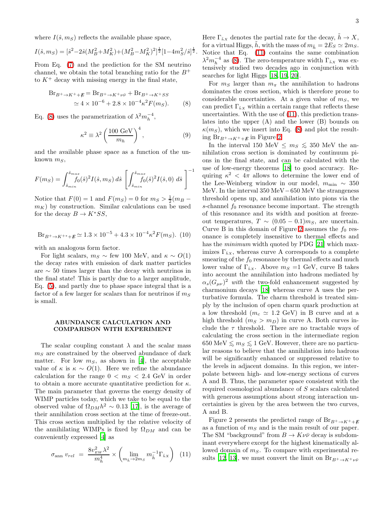where  $I(\hat{s}, m_S)$  reflects the available phase space,

$$
I(\hat{s}, m_S) = [\hat{s}^2 - 2\hat{s}(M_B^2 + M_K^2) + (M_B^2 - M_K^2)^2]^{\frac{1}{2}} [1 - 4m_S^2/\hat{s}]^{\frac{1}{2}}.
$$

From Eq. [\(7\)](#page-1-2) and the prediction for the SM neutrino channel, we obtain the total branching ratio for the  $B^+$ to  $K^+$  decay with missing energy in the final state,

$$
Br_{B^+\to K^+ + E} = Br_{B^+\to K^+\nu\bar{\nu}} + Br_{B^+\to K^+ SS}
$$
  
\n
$$
\simeq 4 \times 10^{-6} + 2.8 \times 10^{-4} \kappa^2 F(m_S).
$$
 (8)

<span id="page-2-0"></span>Eq. [\(8\)](#page-2-0) uses the parametrization of  $\lambda^2 m_h^{-4}$ ,

$$
\kappa^2 \equiv \lambda^2 \left(\frac{100 \text{ GeV}}{m_h}\right)^4, \tag{9}
$$

and the available phase space as a function of the unknown  $m<sub>S</sub>$ ,

$$
F(m_S) = \int_{\hat{s}_{min}}^{\hat{s}_{max}} f_0(\hat{s})^2 I(\hat{s}, m_S) \, d\hat{s} \left[ \int_{\hat{s}_{min}}^{\hat{s}_{max}} f_0(\hat{s})^2 I(\hat{s}, 0) \, d\hat{s} \right]^{-1}
$$

Notice that  $F(0) = 1$  and  $F(m<sub>S</sub>) = 0$  for  $m<sub>S</sub> > \frac{1}{2}(m<sub>B</sub>$  $m_K$ ) by construction. Similar calculations can be used for the decay  $B \to K^* S S$ ,

$$
Br_{B^+\to K^{++}+\cancel{E}} \simeq 1.3 \times 10^{-5} + 4.3 \times 10^{-4} \kappa^2 F(m_S). (10)
$$

with an analogous form factor.

For light scalars,  $m_S \sim \text{few } 100 \text{ MeV}$ , and  $\kappa \sim O(1)$ the decay rates with emission of dark matter particles are ∼ 50 times larger than the decay with neutrinos in the final state! This is partly due to a larger amplitude, Eq. [\(5\)](#page-1-3), and partly due to phase space integral that is a factor of a few larger for scalars than for neutrinos if  $m<sub>S</sub>$ is small.

## ABUNDANCE CALCULATION AND COMPARISON WITH EXPERIMENT

The scalar coupling constant  $\lambda$  and the scalar mass  $m<sub>S</sub>$  are constrained by the observed abundance of dark matter. For low  $m<sub>S</sub>$ , as shown in [\[4](#page-3-3)], the acceptable value of  $\kappa$  is  $\kappa \sim O(1)$ . Here we refine the abundance calculation for the range  $0 < m<sub>S</sub> < 2.4$  GeV in order to obtain a more accurate quantitative prediction for  $\kappa$ . The main parameter that governs the energy density of WIMP particles today, which we take to be equal to the observed value of  $\Omega_{DM} h^2 \sim 0.13$  [\[17\]](#page-3-16), is the average of their annihilation cross section at the time of freeze-out. This cross section multiplied by the relative velocity of the annihilating WIMPs is fixed by  $\Omega_{DM}$  and can be conveniently expressed [\[4\]](#page-3-3) as

<span id="page-2-1"></span>
$$
\sigma_{\text{ann}} v_{rel} = \frac{8v_{EW}^2 \lambda^2}{m_h^4} \times \left( \lim_{m_h \to 2m_S} m_h^{-1} \Gamma_{\bar{h}x} \right) (11)
$$

3

Here  $\Gamma_{\bar{h}X}$  denotes the partial rate for the decay,  $h \to X$ , for a virtual Higgs, h, with the mass of  $m_{\tilde{h}} = 2E_S \simeq 2m_S$ . Notice that Eq. [\(11\)](#page-2-1) contains the same combination  $\lambda^2 m_h^{-4}$  as [\(8\)](#page-2-0). The zero-temperature width  $\Gamma_{\bar{k}x}$  was extensively studied two decades ago in conjunction with searches for light Higgs [\[18](#page-3-17), [19](#page-3-18), [20](#page-3-19)].

For  $m<sub>S</sub>$  larger than  $m<sub>\pi</sub>$  the annihilation to hadrons dominates the cross section, which is therefore prone to considerable uncertainties. At a given value of  $m<sub>S</sub>$ , we can predict  $\Gamma_{\tilde{h}X}$  within a certain range that reflects these uncertainties. With the use of [\(11\)](#page-2-1), this prediction translates into the upper (A) and the lower (B) bounds on  $\kappa(m_S)$ , which we insert into Eq. [\(8\)](#page-2-0) and plot the result-ing Br<sub>B+→K++E</sub> in Figure [2.](#page-3-20)

In the interval 150 MeV  $\leq m_S \leq 350$  MeV the annihilation cross section is dominated by continuum pions in the final state, and can be calculated with the use of low-energy theorems [\[18\]](#page-3-17) to good accuracy. Requiring  $\kappa^2$  <  $4\pi$  allows to determine the lower end of the Lee-Weinberg window in our model,  $m_{\text{min}} \sim 350$ MeV. In the interval 350 MeV−650 MeV the strangeness threshold opens up, and annihilation into pions via the s-channel  $f_0$  resonance become important. The strength of this resonance and its width and position at freezeout temperatures,  $T \sim (0.05 - 0.1) m_S$ , are uncertain. Curve B in this domain of Figure [2](#page-3-20) assumes the  $f_0$  resonance is completely insensitive to thermal effects and has the *minimum* width quoted by PDG [\[21\]](#page-3-21) which maximizes  $\Gamma_{\tilde{h}x}$ , whereas curve A corresponds to a complete smearing of the  $f_0$  resonance by thermal effects and much lower value of  $\Gamma_{\tilde{h}x}$ . Above  $m_s =1$  GeV, curve B takes into account the annihilation into hadrons mediated by  $\alpha_s(G_{\mu\nu})^2$  with the two-fold enhancement suggested by charmonium decays [\[18](#page-3-17)] whereas curve A uses the perturbative formula. The charm threshold is treated simply by the inclusion of open charm quark production at a low threshold  $(m_c \simeq 1.2 \text{ GeV})$  in B curve and at a high threshold  $(m_S > m_D)$  in curve A. Both curves include the  $\tau$  threshold. There are no tractable ways of calculating the cross section in the intermediate region 650 MeV  $\leq m_S \leq 1$  GeV. However, there are no particular reasons to believe that the annihilation into hadrons will be significantly enhanced or suppressed relative to the levels in adjacent domains. In this region, we interpolate between high- and low-energy sections of curves A and B. Thus, the parameter space consistent with the required cosmological abundance of S scalars calculated with generous assumptions about strong interaction uncertainties is given by the area between the two curves, A and B.

Figure 2 presents the predicted range of  $\text{Br}_{B^+\to K^++E}$ as a function of  $m<sub>S</sub>$  and is the main result of our paper. The SM "background" from  $B \to K \nu \bar{\nu}$  decay is subdominant everywhere except for the highest kinematically allowed domain of  $m<sub>S</sub>$ . To compare with experimental re-sults [\[12](#page-3-11), [13\]](#page-3-12), we must convert the limit on  $\text{Br}_{B^+\to K^+\nu\bar{\nu}}$